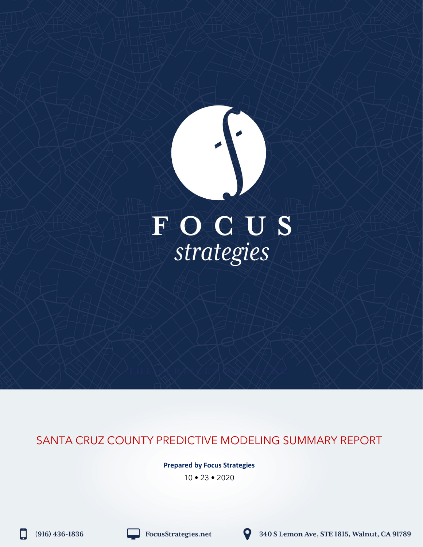# FOCUS<br>strategies

SANTA CRUZ COUNTY PREDICTIVE MODELING SUMMARY REPORT

**Prepared by Focus Strategies**

10 • 23 • 2020

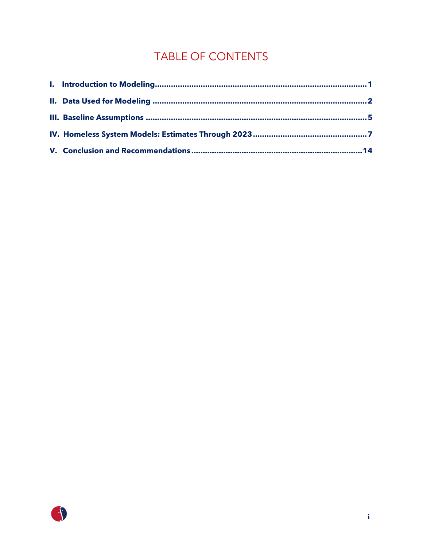# TABLE OF CONTENTS

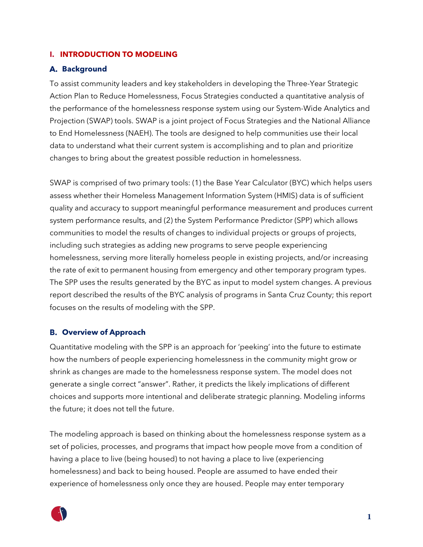### <span id="page-2-0"></span>**I. INTRODUCTION TO MODELING**

### **Background**

To assist community leaders and key stakeholders in developing the Three-Year Strategic Action Plan to Reduce Homelessness, Focus Strategies conducted a quantitative analysis of the performance of the homelessness response system using our System-Wide Analytics and Projection (SWAP) tools. SWAP is a joint project of Focus Strategies and the National Alliance to End Homelessness (NAEH). The tools are designed to help communities use their local data to understand what their current system is accomplishing and to plan and prioritize changes to bring about the greatest possible reduction in homelessness.

SWAP is comprised of two primary tools: (1) the Base Year Calculator (BYC) which helps users assess whether their Homeless Management Information System (HMIS) data is of sufficient quality and accuracy to support meaningful performance measurement and produces current system performance results, and (2) the System Performance Predictor (SPP) which allows communities to model the results of changes to individual projects or groups of projects, including such strategies as adding new programs to serve people experiencing homelessness, serving more literally homeless people in existing projects, and/or increasing the rate of exit to permanent housing from emergency and other temporary program types. The SPP uses the results generated by the BYC as input to model system changes. A previous report described the results of the BYC analysis of programs in Santa Cruz County; this report focuses on the results of modeling with the SPP.

### **Overview of Approach**

Quantitative modeling with the SPP is an approach for 'peeking' into the future to estimate how the numbers of people experiencing homelessness in the community might grow or shrink as changes are made to the homelessness response system. The model does not generate a single correct "answer". Rather, it predicts the likely implications of different choices and supports more intentional and deliberate strategic planning. Modeling informs the future; it does not tell the future.

The modeling approach is based on thinking about the homelessness response system as a set of policies, processes, and programs that impact how people move from a condition of having a place to live (being housed) to not having a place to live (experiencing homelessness) and back to being housed. People are assumed to have ended their experience of homelessness only once they are housed. People may enter temporary

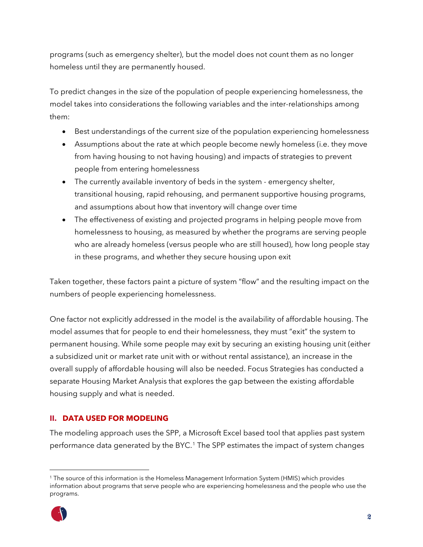programs (such as emergency shelter), but the model does not count them as no longer homeless until they are permanently housed.

To predict changes in the size of the population of people experiencing homelessness, the model takes into considerations the following variables and the inter-relationships among them:

- Best understandings of the current size of the population experiencing homelessness
- Assumptions about the rate at which people become newly homeless (i.e. they move from having housing to not having housing) and impacts of strategies to prevent people from entering homelessness
- The currently available inventory of beds in the system emergency shelter, transitional housing, rapid rehousing, and permanent supportive housing programs, and assumptions about how that inventory will change over time
- The effectiveness of existing and projected programs in helping people move from homelessness to housing, as measured by whether the programs are serving people who are already homeless (versus people who are still housed), how long people stay in these programs, and whether they secure housing upon exit

Taken together, these factors paint a picture of system "flow" and the resulting impact on the numbers of people experiencing homelessness.

One factor not explicitly addressed in the model is the availability of affordable housing. The model assumes that for people to end their homelessness, they must "exit" the system to permanent housing. While some people may exit by securing an existing housing unit (either a subsidized unit or market rate unit with or without rental assistance), an increase in the overall supply of affordable housing will also be needed. Focus Strategies has conducted a separate Housing Market Analysis that explores the gap between the existing affordable housing supply and what is needed.

### <span id="page-3-0"></span>**II. DATA USED FOR MODELING**

The modeling approach uses the SPP, a Microsoft Excel based tool that applies past system performance data generated by the BYC.<sup>[1](#page-3-1)</sup> The SPP estimates the impact of system changes

<span id="page-3-1"></span><sup>1</sup> The source of this information is the Homeless Management Information System (HMIS) which provides information about programs that serve people who are experiencing homelessness and the people who use the programs.

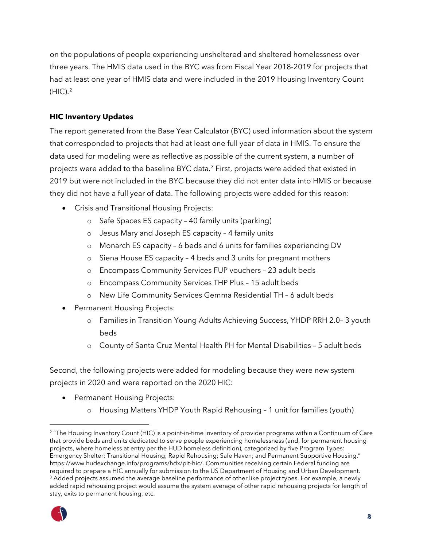on the populations of people experiencing unsheltered and sheltered homelessness over three years. The HMIS data used in the BYC was from Fiscal Year 2018-2019 for projects that had at least one year of HMIS data and were included in the 2019 Housing Inventory Count  $(HIC).<sup>2</sup>$  $(HIC).<sup>2</sup>$  $(HIC).<sup>2</sup>$ 

### **HIC Inventory Updates**

The report generated from the Base Year Calculator (BYC) used information about the system that corresponded to projects that had at least one full year of data in HMIS. To ensure the data used for modeling were as reflective as possible of the current system, a number of projects were added to the baseline BYC data.<sup>[3](#page-4-1)</sup> First, projects were added that existed in 2019 but were not included in the BYC because they did not enter data into HMIS or because they did not have a full year of data. The following projects were added for this reason:

- Crisis and Transitional Housing Projects:
	- o Safe Spaces ES capacity 40 family units (parking)
	- o Jesus Mary and Joseph ES capacity 4 family units
	- o Monarch ES capacity 6 beds and 6 units for families experiencing DV
	- o Siena House ES capacity 4 beds and 3 units for pregnant mothers
	- o Encompass Community Services FUP vouchers 23 adult beds
	- o Encompass Community Services THP Plus 15 adult beds
	- o New Life Community Services Gemma Residential TH 6 adult beds
- Permanent Housing Projects:
	- o Families in Transition Young Adults Achieving Success, YHDP RRH 2.0– 3 youth beds
	- o County of Santa Cruz Mental Health PH for Mental Disabilities 5 adult beds

Second, the following projects were added for modeling because they were new system projects in 2020 and were reported on the 2020 HIC:

- Permanent Housing Projects:
	- o Housing Matters YHDP Youth Rapid Rehousing 1 unit for families (youth)

<span id="page-4-1"></span><span id="page-4-0"></span><sup>&</sup>lt;sup>2</sup> "The Housing Inventory Count (HIC) is a point-in-time inventory of provider programs within a Continuum of Care that provide beds and units dedicated to serve people experiencing homelessness (and, for permanent housing projects, where homeless at entry per the HUD homeless definition), categorized by five Program Types: Emergency Shelter; Transitional Housing; Rapid Rehousing; Safe Haven; and Permanent Supportive Housing." https://www.hudexchange.info/programs/hdx/pit-hic/. Communities receiving certain Federal funding are required to prepare a HIC annually for submission to the US Department of Housing and Urban Development. <sup>3</sup> Added projects assumed the average baseline performance of other like project types. For example, a newly added rapid rehousing project would assume the system average of other rapid rehousing projects for length of stay, exits to permanent housing, etc.

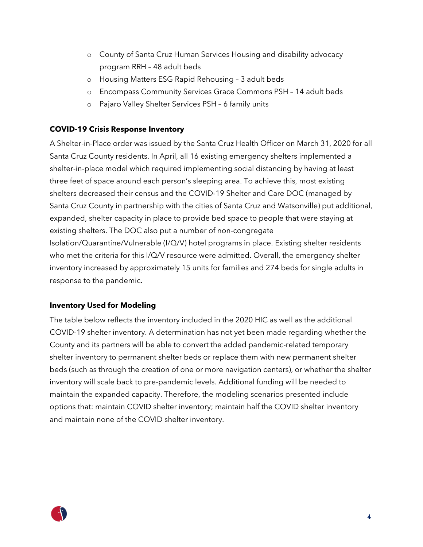- o County of Santa Cruz Human Services Housing and disability advocacy program RRH – 48 adult beds
- o Housing Matters ESG Rapid Rehousing 3 adult beds
- o Encompass Community Services Grace Commons PSH 14 adult beds
- o Pajaro Valley Shelter Services PSH 6 family units

### **COVID-19 Crisis Response Inventory**

A Shelter-in-Place order was issued by the Santa Cruz Health Officer on March 31, 2020 for all Santa Cruz County residents. In April, all 16 existing emergency shelters implemented a shelter-in-place model which required implementing social distancing by having at least three feet of space around each person's sleeping area. To achieve this, most existing shelters decreased their census and the COVID-19 Shelter and Care DOC (managed by Santa Cruz County in partnership with the cities of Santa Cruz and Watsonville) put additional, expanded, shelter capacity in place to provide bed space to people that were staying at existing shelters. The DOC also put a number of non-congregate Isolation/Quarantine/Vulnerable (I/Q/V) hotel programs in place. Existing shelter residents who met the criteria for this I/Q/V resource were admitted. Overall, the emergency shelter inventory increased by approximately 15 units for families and 274 beds for single adults in response to the pandemic.

### **Inventory Used for Modeling**

The table below reflects the inventory included in the 2020 HIC as well as the additional COVID-19 shelter inventory. A determination has not yet been made regarding whether the County and its partners will be able to convert the added pandemic-related temporary shelter inventory to permanent shelter beds or replace them with new permanent shelter beds (such as through the creation of one or more navigation centers), or whether the shelter inventory will scale back to pre-pandemic levels. Additional funding will be needed to maintain the expanded capacity. Therefore, the modeling scenarios presented include options that: maintain COVID shelter inventory; maintain half the COVID shelter inventory and maintain none of the COVID shelter inventory.

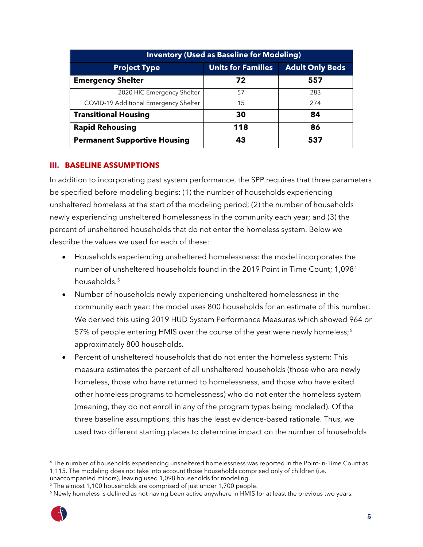| <b>Inventory (Used as Baseline for Modeling)</b> |                           |                        |  |  |
|--------------------------------------------------|---------------------------|------------------------|--|--|
| <b>Project Type</b>                              | <b>Units for Families</b> | <b>Adult Only Beds</b> |  |  |
| <b>Emergency Shelter</b>                         | 72                        | 557                    |  |  |
| 2020 HIC Emergency Shelter                       | 57                        | 283                    |  |  |
| <b>COVID-19 Additional Emergency Shelter</b>     | 15                        | 274                    |  |  |
| <b>Transitional Housing</b>                      | 30                        | 84                     |  |  |
| <b>Rapid Rehousing</b>                           | 118                       | 86                     |  |  |
| <b>Permanent Supportive Housing</b>              | 43                        | 537                    |  |  |

### <span id="page-6-0"></span>**III. BASELINE ASSUMPTIONS**

In addition to incorporating past system performance, the SPP requires that three parameters be specified before modeling begins: (1) the number of households experiencing unsheltered homeless at the start of the modeling period; (2) the number of households newly experiencing unsheltered homelessness in the community each year; and (3) the percent of unsheltered households that do not enter the homeless system. Below we describe the values we used for each of these:

- Households experiencing unsheltered homelessness: the model incorporates the number of unsheltered households found in the 2019 Point in Time Count; 1,098[4](#page-6-1) households.<sup>[5](#page-6-2)</sup>
- Number of households newly experiencing unsheltered homelessness in the community each year: the model uses 800 households for an estimate of this number. We derived this using 2019 HUD System Performance Measures which showed 964 or 57% of people entering HMIS over the course of the year were newly homeless;<sup>[6](#page-6-3)</sup> approximately 800 households.
- Percent of unsheltered households that do not enter the homeless system: This measure estimates the percent of all unsheltered households (those who are newly homeless, those who have returned to homelessness, and those who have exited other homeless programs to homelessness) who do not enter the homeless system (meaning, they do not enroll in any of the program types being modeled). Of the three baseline assumptions, this has the least evidence-based rationale. Thus, we used two different starting places to determine impact on the number of households

<span id="page-6-3"></span><sup>&</sup>lt;sup>6</sup> Newly homeless is defined as not having been active anywhere in HMIS for at least the previous two years.



<span id="page-6-1"></span><sup>4</sup> The number of households experiencing unsheltered homelessness was reported in the Point-in-Time Count as 1,115. The modeling does not take into account those households comprised only of children (i.e.

unaccompanied minors), leaving used 1,098 households for modeling.

<span id="page-6-2"></span><sup>&</sup>lt;sup>5</sup> The almost 1,100 households are comprised of just under 1,700 people.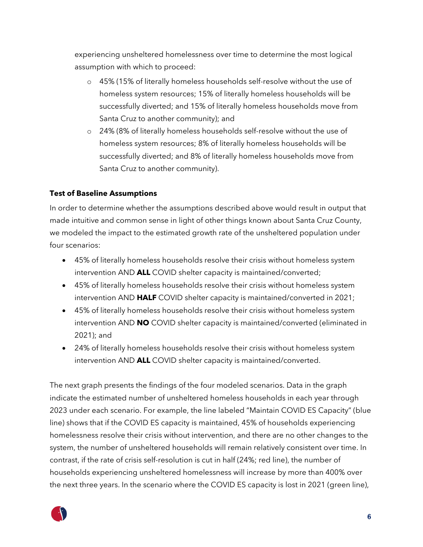experiencing unsheltered homelessness over time to determine the most logical assumption with which to proceed:

- o 45% (15% of literally homeless households self-resolve without the use of homeless system resources; 15% of literally homeless households will be successfully diverted; and 15% of literally homeless households move from Santa Cruz to another community); and
- o 24% (8% of literally homeless households self-resolve without the use of homeless system resources; 8% of literally homeless households will be successfully diverted; and 8% of literally homeless households move from Santa Cruz to another community).

### **Test of Baseline Assumptions**

In order to determine whether the assumptions described above would result in output that made intuitive and common sense in light of other things known about Santa Cruz County, we modeled the impact to the estimated growth rate of the unsheltered population under four scenarios:

- 45% of literally homeless households resolve their crisis without homeless system intervention AND **ALL** COVID shelter capacity is maintained/converted;
- 45% of literally homeless households resolve their crisis without homeless system intervention AND **HALF** COVID shelter capacity is maintained/converted in 2021;
- 45% of literally homeless households resolve their crisis without homeless system intervention AND **NO** COVID shelter capacity is maintained/converted (eliminated in 2021); and
- 24% of literally homeless households resolve their crisis without homeless system intervention AND **ALL** COVID shelter capacity is maintained/converted.

The next graph presents the findings of the four modeled scenarios. Data in the graph indicate the estimated number of unsheltered homeless households in each year through 2023 under each scenario. For example, the line labeled "Maintain COVID ES Capacity" (blue line) shows that if the COVID ES capacity is maintained, 45% of households experiencing homelessness resolve their crisis without intervention, and there are no other changes to the system, the number of unsheltered households will remain relatively consistent over time. In contrast, if the rate of crisis self-resolution is cut in half (24%; red line), the number of households experiencing unsheltered homelessness will increase by more than 400% over the next three years. In the scenario where the COVID ES capacity is lost in 2021 (green line),

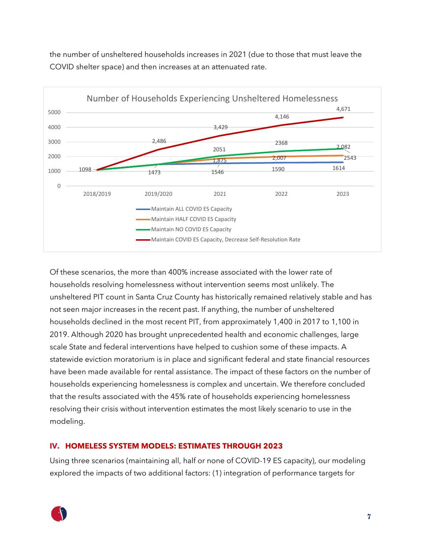the number of unsheltered households increases in 2021 (due to those that must leave the COVID shelter space) and then increases at an attenuated rate.



Of these scenarios, the more than 400% increase associated with the lower rate of households resolving homelessness without intervention seems most unlikely. The unsheltered PIT count in Santa Cruz County has historically remained relatively stable and has not seen major increases in the recent past. If anything, the number of unsheltered households declined in the most recent PIT, from approximately 1,400 in 2017 to 1,100 in 2019. Although 2020 has brought unprecedented health and economic challenges, large scale State and federal interventions have helped to cushion some of these impacts. A statewide eviction moratorium is in place and significant federal and state financial resources have been made available for rental assistance. The impact of these factors on the number of households experiencing homelessness is complex and uncertain. We therefore concluded that the results associated with the 45% rate of households experiencing homelessness resolving their crisis without intervention estimates the most likely scenario to use in the modeling.

### <span id="page-8-0"></span>**IV. HOMELESS SYSTEM MODELS: ESTIMATES THROUGH 2023**

Using three scenarios (maintaining all, half or none of COVID-19 ES capacity), our modeling explored the impacts of two additional factors: (1) integration of performance targets for

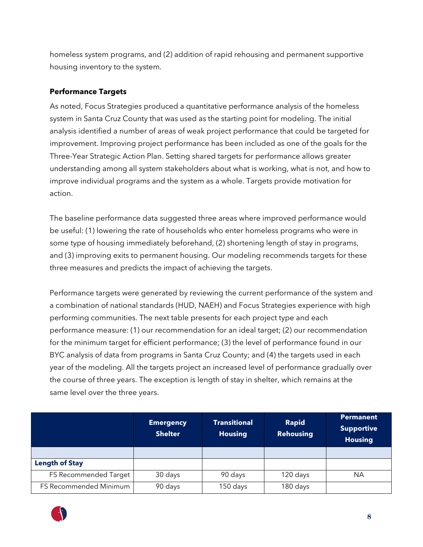homeless system programs, and (2) addition of rapid rehousing and permanent supportive housing inventory to the system.

### **Performance Targets**

As noted, Focus Strategies produced a quantitative performance analysis of the homeless system in Santa Cruz County that was used as the starting point for modeling. The initial analysis identified a number of areas of weak project performance that could be targeted for improvement. Improving project performance has been included as one of the goals for the Three-Year Strategic Action Plan. Setting shared targets for performance allows greater understanding among all system stakeholders about what is working, what is not, and how to improve individual programs and the system as a whole. Targets provide motivation for action.

The baseline performance data suggested three areas where improved performance would be useful: (1) lowering the rate of households who enter homeless programs who were in some type of housing immediately beforehand, (2) shortening length of stay in programs, and (3) improving exits to permanent housing. Our modeling recommends targets for these three measures and predicts the impact of achieving the targets.

Performance targets were generated by reviewing the current performance of the system and a combination of national standards (HUD, NAEH) and Focus Strategies experience with high performing communities. The next table presents for each project type and each performance measure: (1) our recommendation for an ideal target; (2) our recommendation for the minimum target for efficient performance; (3) the level of performance found in our BYC analysis of data from programs in Santa Cruz County; and (4) the targets used in each year of the modeling. All the targets project an increased level of performance gradually over the course of three years. The exception is length of stay in shelter, which remains at the same level over the three years.

|                        | <b>Emergency</b><br><b>Shelter</b> | <b>Transitional</b><br><b>Housing</b> | <b>Rapid</b><br><b>Rehousing</b> | Permanent<br><b>Supportive</b><br><b>Housing</b> |
|------------------------|------------------------------------|---------------------------------------|----------------------------------|--------------------------------------------------|
|                        |                                    |                                       |                                  |                                                  |
| <b>Length of Stay</b>  |                                    |                                       |                                  |                                                  |
| FS Recommended Target  | 30 days                            | 90 days                               | 120 days                         | <b>NA</b>                                        |
| FS Recommended Minimum | 90 days                            | 150 days                              | 180 days                         |                                                  |

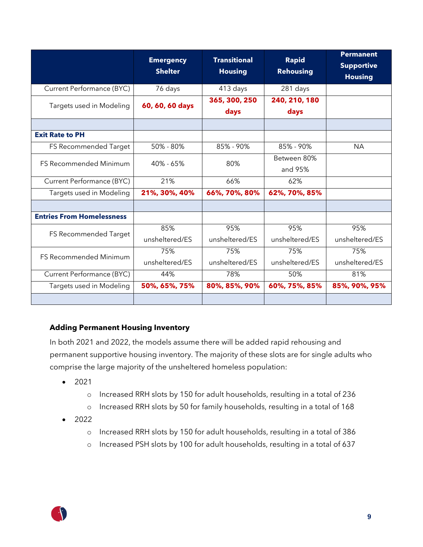|                                                 | <b>Emergency</b><br><b>Shelter</b> | <b>Transitional</b><br><b>Housing</b> | <b>Rapid</b><br><b>Rehousing</b> | <b>Permanent</b><br><b>Supportive</b><br><b>Housing</b> |
|-------------------------------------------------|------------------------------------|---------------------------------------|----------------------------------|---------------------------------------------------------|
| Current Performance (BYC)                       | 76 days                            | 413 days                              | 281 days                         |                                                         |
| Targets used in Modeling                        | 60, 60, 60 days                    | 365, 300, 250<br>days                 | 240, 210, 180<br>days            |                                                         |
|                                                 |                                    |                                       |                                  |                                                         |
| <b>Exit Rate to PH</b>                          |                                    |                                       |                                  |                                                         |
| FS Recommended Target                           | 50% - 80%                          | 85% - 90%                             | 85% - 90%                        | <b>NA</b>                                               |
| <b>FS Recommended Minimum</b>                   | $40\% - 65\%$                      | 80%                                   | Between 80%<br>and 95%           |                                                         |
| Current Performance (BYC)                       | 21%                                | 66%                                   | 62%                              |                                                         |
| Targets used in Modeling                        | 21%, 30%, 40%                      | 66%, 70%, 80%                         | 62%, 70%, 85%                    |                                                         |
|                                                 |                                    |                                       |                                  |                                                         |
| <b>Entries From Homelessness</b>                |                                    |                                       |                                  |                                                         |
|                                                 | 85%                                | 95%                                   | 95%                              | 95%                                                     |
|                                                 | unsheltered/ES                     | unsheltered/ES                        | unsheltered/ES                   | unsheltered/ES                                          |
|                                                 | 75%                                | 75%                                   | 75%                              | 75%                                                     |
|                                                 | unsheltered/ES                     | unsheltered/ES                        | unsheltered/ES                   | unsheltered/ES                                          |
| Current Performance (BYC)                       | 44%                                | 78%                                   | 50%                              | 81%                                                     |
| Targets used in Modeling                        | 50%, 65%, 75%                      | 80%, 85%, 90%                         | 60%, 75%, 85%                    | 85%, 90%, 95%                                           |
| FS Recommended Target<br>FS Recommended Minimum |                                    |                                       |                                  |                                                         |

### **Adding Permanent Housing Inventory**

In both 2021 and 2022, the models assume there will be added rapid rehousing and permanent supportive housing inventory. The majority of these slots are for single adults who comprise the large majority of the unsheltered homeless population:

- 2021
	- o Increased RRH slots by 150 for adult households, resulting in a total of 236
	- o Increased RRH slots by 50 for family households, resulting in a total of 168
- $2022$ 
	- o Increased RRH slots by 150 for adult households, resulting in a total of 386
	- o Increased PSH slots by 100 for adult households, resulting in a total of 637

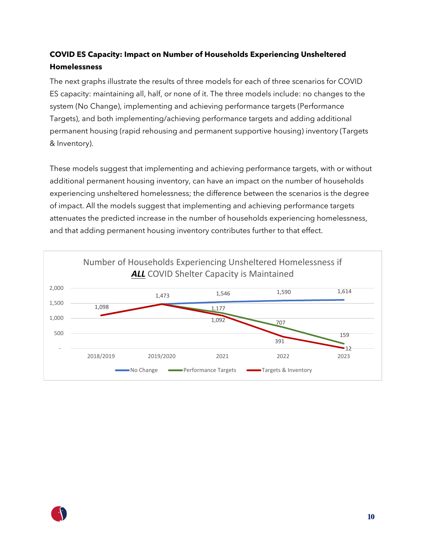## **COVID ES Capacity: Impact on Number of Households Experiencing Unsheltered Homelessness**

The next graphs illustrate the results of three models for each of three scenarios for COVID ES capacity: maintaining all, half, or none of it. The three models include: no changes to the system (No Change), implementing and achieving performance targets (Performance Targets), and both implementing/achieving performance targets and adding additional permanent housing (rapid rehousing and permanent supportive housing) inventory (Targets & Inventory).

These models suggest that implementing and achieving performance targets, with or without additional permanent housing inventory, can have an impact on the number of households experiencing unsheltered homelessness; the difference between the scenarios is the degree of impact. All the models suggest that implementing and achieving performance targets attenuates the predicted increase in the number of households experiencing homelessness, and that adding permanent housing inventory contributes further to that effect.



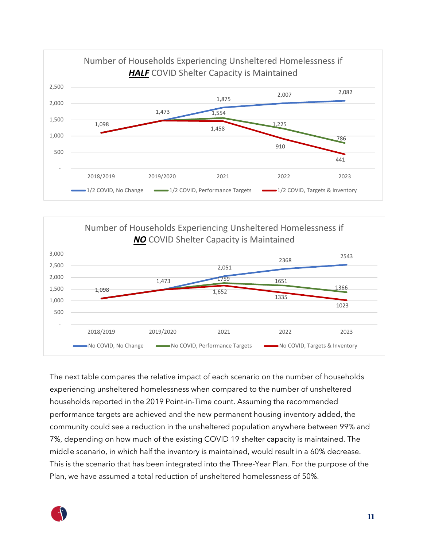



The next table compares the relative impact of each scenario on the number of households experiencing unsheltered homelessness when compared to the number of unsheltered households reported in the 2019 Point-in-Time count. Assuming the recommended performance targets are achieved and the new permanent housing inventory added, the community could see a reduction in the unsheltered population anywhere between 99% and 7%, depending on how much of the existing COVID 19 shelter capacity is maintained. The middle scenario, in which half the inventory is maintained, would result in a 60% decrease. This is the scenario that has been integrated into the Three-Year Plan. For the purpose of the Plan, we have assumed a total reduction of unsheltered homelessness of 50%.

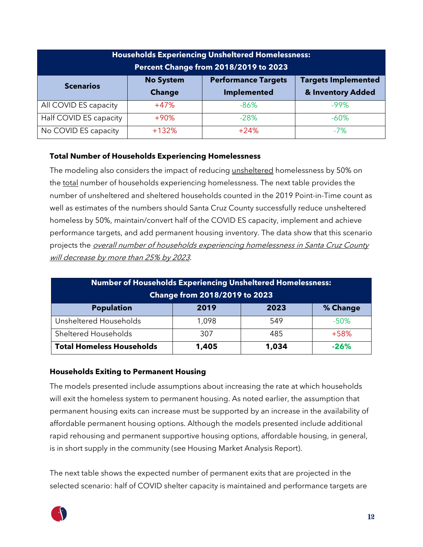| <b>Households Experiencing Unsheltered Homelessness:</b><br>Percent Change from 2018/2019 to 2023 |                                   |                                                  |                                                 |  |  |
|---------------------------------------------------------------------------------------------------|-----------------------------------|--------------------------------------------------|-------------------------------------------------|--|--|
| <b>Scenarios</b>                                                                                  | <b>No System</b><br><b>Change</b> | <b>Performance Targets</b><br><b>Implemented</b> | <b>Targets Implemented</b><br>& Inventory Added |  |  |
| All COVID ES capacity                                                                             | $+47%$                            | $-86%$                                           | $-99%$                                          |  |  |
| Half COVID ES capacity                                                                            | $+90%$                            | $-28%$                                           | $-60\%$                                         |  |  |
| No COVID ES capacity                                                                              | $+132%$                           | $+24%$                                           | $-7%$                                           |  |  |

### **Total Number of Households Experiencing Homelessness**

The modeling also considers the impact of reducing unsheltered homelessness by 50% on the total number of households experiencing homelessness. The next table provides the number of unsheltered and sheltered households counted in the 2019 Point-in-Time count as well as estimates of the numbers should Santa Cruz County successfully reduce unsheltered homeless by 50%, maintain/convert half of the COVID ES capacity, implement and achieve performance targets, and add permanent housing inventory. The data show that this scenario projects the *overall number of households experiencing homelessness in Santa Cruz County* will decrease by more than 25% by 2023.

| Number of Households Experiencing Unsheltered Homelessness:<br><b>Change from 2018/2019 to 2023</b> |       |       |          |  |
|-----------------------------------------------------------------------------------------------------|-------|-------|----------|--|
| <b>Population</b>                                                                                   | 2019  | 2023  | % Change |  |
| Unsheltered Households                                                                              | 1,098 | 549   | $-50%$   |  |
| Sheltered Households                                                                                | 307   | 485   | $+58%$   |  |
| <b>Total Homeless Households</b>                                                                    | 1,405 | 1,034 | $-26%$   |  |

### **Households Exiting to Permanent Housing**

The models presented include assumptions about increasing the rate at which households will exit the homeless system to permanent housing. As noted earlier, the assumption that permanent housing exits can increase must be supported by an increase in the availability of affordable permanent housing options. Although the models presented include additional rapid rehousing and permanent supportive housing options, affordable housing, in general, is in short supply in the community (see Housing Market Analysis Report).

The next table shows the expected number of permanent exits that are projected in the selected scenario: half of COVID shelter capacity is maintained and performance targets are

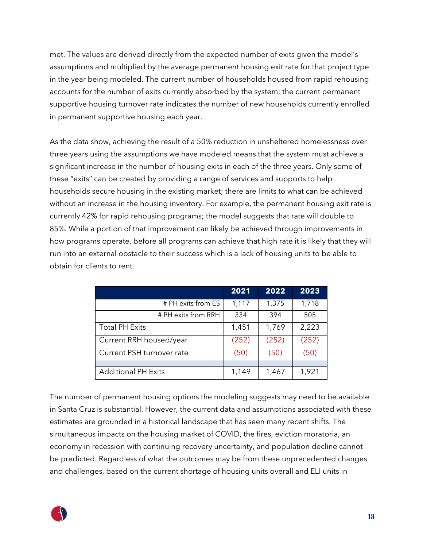met. The values are derived directly from the expected number of exits given the model's assumptions and multiplied by the average permanent housing exit rate for that project type in the year being modeled. The current number of households housed from rapid rehousing accounts for the number of exits currently absorbed by the system; the current permanent supportive housing turnover rate indicates the number of new households currently enrolled in permanent supportive housing each year.

As the data show, achieving the result of a 50% reduction in unsheltered homelessness over three years using the assumptions we have modeled means that the system must achieve a significant increase in the number of housing exits in each of the three years. Only some of these "exits" can be created by providing a range of services and supports to help households secure housing in the existing market; there are limits to what can be achieved without an increase in the housing inventory. For example, the permanent housing exit rate is currently 42% for rapid rehousing programs; the model suggests that rate will double to 85%. While a portion of that improvement can likely be achieved through improvements in how programs operate, before all programs can achieve that high rate it is likely that they will run into an external obstacle to their success which is a lack of housing units to be able to obtain for clients to rent.

|                            | 2021  | 2022  | 2023  |
|----------------------------|-------|-------|-------|
| # PH exits from ES         | 1,117 | 1,375 | 1,718 |
| # PH exits from RRH        | 334   | 394   | 505   |
| <b>Total PH Exits</b>      | 1,451 | 1,769 | 2,223 |
| Current RRH housed/year    | (252) | (252) | (252) |
| Current PSH turnover rate  | (50)  | (50)  | (50)  |
|                            |       |       |       |
| <b>Additional PH Exits</b> | 1,149 | 1,467 | 1,921 |

The number of permanent housing options the modeling suggests may need to be available in Santa Cruz is substantial. However, the current data and assumptions associated with these estimates are grounded in a historical landscape that has seen many recent shifts. The simultaneous impacts on the housing market of COVID, the fires, eviction moratoria, an economy in recession with continuing recovery uncertainty, and population decline cannot be predicted. Regardless of what the outcomes may be from these unprecedented changes and challenges, based on the current shortage of housing units overall and ELI units in